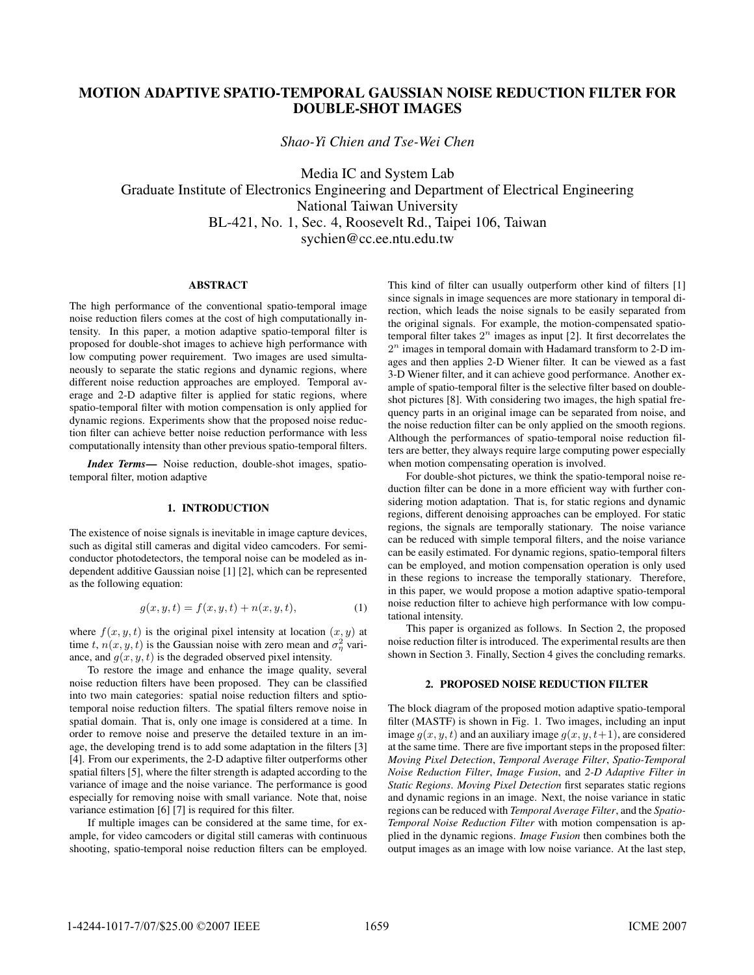# **MOTION ADAPTIVE SPATIO-TEMPORAL GAUSSIAN NOISE REDUCTION FILTER FOR DOUBLE-SHOT IMAGES**

*Shao-Yi Chien and Tse-Wei Chen*

Media IC and System Lab Graduate Institute of Electronics Engineering and Department of Electrical Engineering National Taiwan University BL-421, No. 1, Sec. 4, Roosevelt Rd., Taipei 106, Taiwan sychien@cc.ee.ntu.edu.tw

# **ABSTRACT**

The high performance of the conventional spatio-temporal image noise reduction filers comes at the cost of high computationally intensity. In this paper, a motion adaptive spatio-temporal filter is proposed for double-shot images to achieve high performance with low computing power requirement. Two images are used simultaneously to separate the static regions and dynamic regions, where different noise reduction approaches are employed. Temporal average and 2-D adaptive filter is applied for static regions, where spatio-temporal filter with motion compensation is only applied for dynamic regions. Experiments show that the proposed noise reduction filter can achieve better noise reduction performance with less computationally intensity than other previous spatio-temporal filters.

*Index Terms***—** Noise reduction, double-shot images, spatiotemporal filter, motion adaptive

# **1. INTRODUCTION**

The existence of noise signals is inevitable in image capture devices, such as digital still cameras and digital video camcoders. For semiconductor photodetectors, the temporal noise can be modeled as independent additive Gaussian noise [1] [2], which can be represented as the following equation:

$$
g(x, y, t) = f(x, y, t) + n(x, y, t),
$$
 (1)

where  $f(x, y, t)$  is the original pixel intensity at location  $(x, y)$  at time t,  $n(x, y, t)$  is the Gaussian noise with zero mean and  $\sigma_{\eta}^2$  vari-<br>ance, and  $a(x, y, t)$  is the degraded observed pixel intensity ance, and  $g(x, y, t)$  is the degraded observed pixel intensity.

To restore the image and enhance the image quality, several noise reduction filters have been proposed. They can be classified into two main categories: spatial noise reduction filters and sptiotemporal noise reduction filters. The spatial filters remove noise in spatial domain. That is, only one image is considered at a time. In order to remove noise and preserve the detailed texture in an image, the developing trend is to add some adaptation in the filters [3] [4]. From our experiments, the 2-D adaptive filter outperforms other spatial filters [5], where the filter strength is adapted according to the variance of image and the noise variance. The performance is good especially for removing noise with small variance. Note that, noise variance estimation [6] [7] is required for this filter.

If multiple images can be considered at the same time, for example, for video camcoders or digital still cameras with continuous shooting, spatio-temporal noise reduction filters can be employed. This kind of filter can usually outperform other kind of filters [1] since signals in image sequences are more stationary in temporal direction, which leads the noise signals to be easily separated from the original signals. For example, the motion-compensated spatiotemporal filter takes  $2^n$  images as input [2]. It first decorrelates the  $2<sup>n</sup>$  images in temporal domain with Hadamard transform to 2-D images and then applies 2-D Wiener filter. It can be viewed as a fast 3-D Wiener filter, and it can achieve good performance. Another example of spatio-temporal filter is the selective filter based on doubleshot pictures [8]. With considering two images, the high spatial frequency parts in an original image can be separated from noise, and the noise reduction filter can be only applied on the smooth regions. Although the performances of spatio-temporal noise reduction filters are better, they always require large computing power especially when motion compensating operation is involved.

For double-shot pictures, we think the spatio-temporal noise reduction filter can be done in a more efficient way with further considering motion adaptation. That is, for static regions and dynamic regions, different denoising approaches can be employed. For static regions, the signals are temporally stationary. The noise variance can be reduced with simple temporal filters, and the noise variance can be easily estimated. For dynamic regions, spatio-temporal filters can be employed, and motion compensation operation is only used in these regions to increase the temporally stationary. Therefore, in this paper, we would propose a motion adaptive spatio-temporal noise reduction filter to achieve high performance with low computational intensity.

This paper is organized as follows. In Section 2, the proposed noise reduction filter is introduced. The experimental results are then shown in Section 3. Finally, Section 4 gives the concluding remarks.

### **2. PROPOSED NOISE REDUCTION FILTER**

The block diagram of the proposed motion adaptive spatio-temporal filter (MASTF) is shown in Fig. 1. Two images, including an input image  $q(x, y, t)$  and an auxiliary image  $q(x, y, t+1)$ , are considered at the same time. There are five important steps in the proposed filter: *Moving Pixel Detection*, *Temporal Average Filter*, *Spatio-Temporal Noise Reduction Filter*, *Image Fusion*, and *2-D Adaptive Filter in Static Regions*. *Moving Pixel Detection* first separates static regions and dynamic regions in an image. Next, the noise variance in static regions can be reduced with *Temporal Average Filter*, and the *Spatio-Temporal Noise Reduction Filter* with motion compensation is applied in the dynamic regions. *Image Fusion* then combines both the output images as an image with low noise variance. At the last step,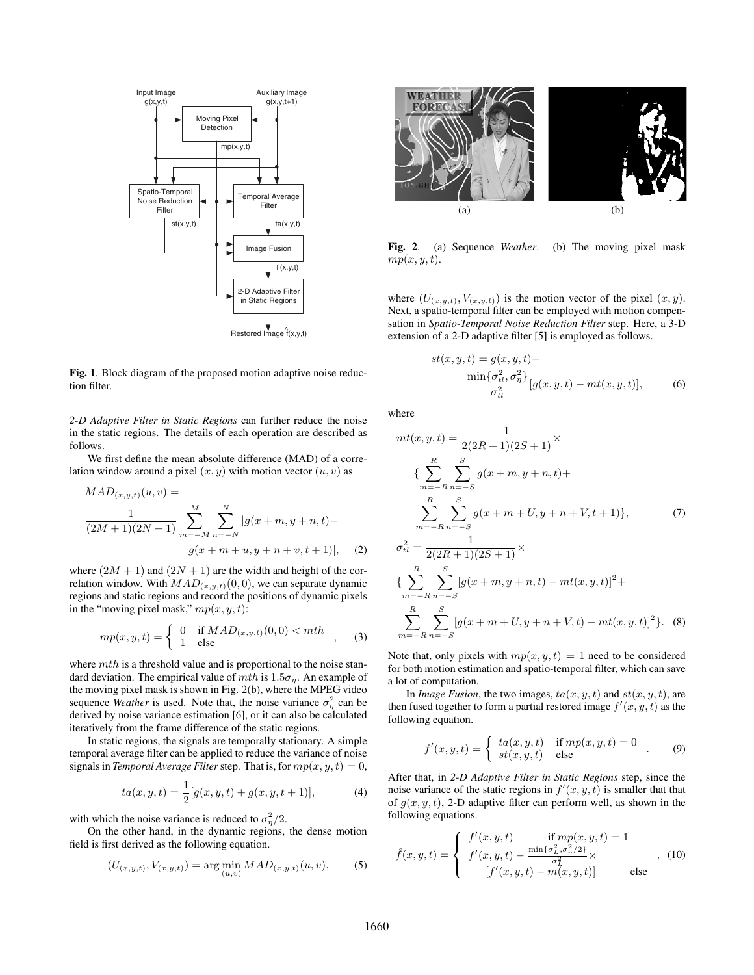

**Fig. 1**. Block diagram of the proposed motion adaptive noise reduction filter.

*2-D Adaptive Filter in Static Regions* can further reduce the noise in the static regions. The details of each operation are described as follows.

We first define the mean absolute difference (MAD) of a correlation window around a pixel  $(x, y)$  with motion vector  $(u, v)$  as

$$
MAD_{(x,y,t)}(u,v) =
$$
  
\n
$$
\frac{1}{(2M+1)(2N+1)} \sum_{m=-M}^{M} \sum_{n=-N}^{N} |g(x+m, y+n, t) -
$$
  
\n
$$
g(x+m+u, y+n+v, t+1)|, \quad (2)
$$

where  $(2M + 1)$  and  $(2N + 1)$  are the width and height of the correlation window. With  $MAD_{(x,y,t)}(0,0)$ , we can separate dynamic regions and static regions and record the positions of dynamic pixels in the "moving pixel mask,"  $mp(x, y, t)$ :

$$
mp(x, y, t) = \begin{cases} 0 & \text{if } MAD_{(x, y, t)}(0, 0) < mth \\ 1 & \text{else} \end{cases}
$$
 (3)

where  $mth$  is a threshold value and is proportional to the noise standard deviation. The empirical value of  $mth$  is  $1.5\sigma_{\eta}$ . An example of the moving pixel mask is shown in Fig. 2(b), where the MPEG video sequence *Weather* is used. Note that, the noise variance  $\sigma_{\eta}^2$  can be derived by noise variance estimation [6], or it can also be calculated derived by noise variance estimation [6], or it can also be calculated iteratively from the frame difference of the static regions.

In static regions, the signals are temporally stationary. A simple temporal average filter can be applied to reduce the variance of noise signals in *Temporal Average Filter* step. That is, for  $mp(x, y, t)=0$ ,

$$
ta(x, y, t) = \frac{1}{2}[g(x, y, t) + g(x, y, t + 1)],
$$
\n(4)

with which the noise variance is reduced to  $\sigma_{\eta}^2/2$ .<br>On the other hand in the dynamic regions

On the other hand, in the dynamic regions, the dense motion field is first derived as the following equation.

$$
(U_{(x,y,t)}, V_{(x,y,t)}) = \arg\min_{(u,v)} MAD_{(x,y,t)}(u,v),
$$
 (5)



**Fig. 2**. (a) Sequence *Weather*. (b) The moving pixel mask  $mp(x, y, t)$ .

where  $(U_{(x,y,t)}, V_{(x,y,t)})$  is the motion vector of the pixel  $(x, y)$ . Next, a spatio-temporal filter can be employed with motion compensation in *Spatio-Temporal Noise Reduction Filter* step. Here, a 3-D extension of a 2-D adaptive filter [5] is employed as follows.

$$
st(x, y, t) = g(x, y, t) - \frac{\min\{\sigma_{tl}^2, \sigma_{\eta}^2\}}{\sigma_{tl}^2} [g(x, y, t) - mt(x, y, t)],
$$
 (6)

where

 $\sim$ 

 $\mathbb{R}^2$ 

$$
mt(x, y, t) = \frac{1}{2(2R+1)(2S+1)} \times
$$
  
\n
$$
\left\{ \sum_{m=-R}^{R} \sum_{n=-S}^{S} g(x+m, y+n, t) + \sum_{m=-R}^{R} \sum_{n=-S}^{S} g(x+m+U, y+n+V, t+1) \right\},
$$
(7)  
\n
$$
\sigma_{tl}^{2} = \frac{1}{2(2R+1)(2S+1)} \times
$$
  
\n
$$
\left\{ \sum_{m=-R}^{R} \sum_{n=-S}^{S} \left[ g(x+m, y+n, t) - mt(x, y, t) \right]^{2} + \sum_{m=-R}^{R} \sum_{n=-S}^{S} \left[ g(x+m+U, y+n+V, t) - mt(x, y, t) \right]^{2} \right\}. \quad (8)
$$

Note that, only pixels with  $mp(x, y, t) = 1$  need to be considered for both motion estimation and spatio-temporal filter, which can save a lot of computation.

In *Image Fusion*, the two images,  $ta(x, y, t)$  and  $st(x, y, t)$ , are then fused together to form a partial restored image  $f'(x, y, t)$  as the following equation following equation.

$$
f'(x, y, t) = \begin{cases} ta(x, y, t) & \text{if } mp(x, y, t) = 0 \\ st(x, y, t) & \text{else} \end{cases}
$$
 (9)

After that, in *2-D Adaptive Filter in Static Regions* step, since the noise variance of the static regions in  $f'(x, y, t)$  is smaller that that that of  $g(x, y, t)$  2-D adaptive filter can perform well as shown in the of  $q(x, y, t)$ , 2-D adaptive filter can perform well, as shown in the following equations.

$$
\hat{f}(x, y, t) = \begin{cases}\n f'(x, y, t) & \text{if } mp(x, y, t) = 1 \\
f'(x, y, t) - \frac{\min\{\sigma_L^2, \sigma_\eta^2/2\}}{\sigma_L^2} \times \\
[f'(x, y, t) - m(x, y, t)] & \text{else}\n\end{cases}
$$
\n(10)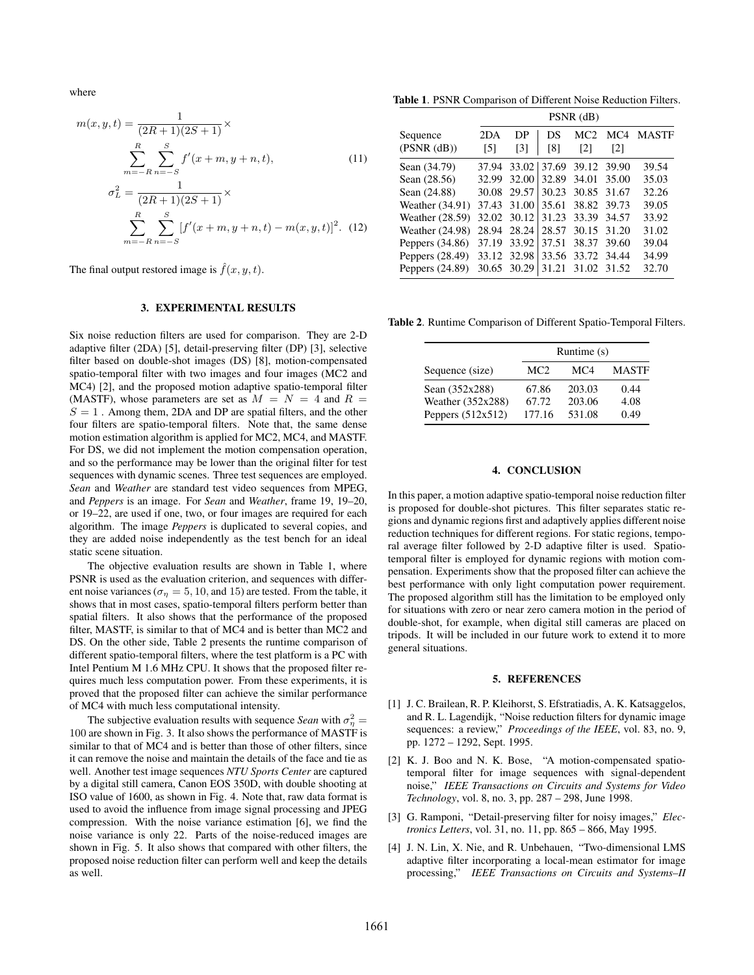where

$$
m(x, y, t) = \frac{1}{(2R+1)(2S+1)} \times
$$
  

$$
\sum_{m=-R}^{R} \sum_{n=-S}^{S} f'(x+m, y+n, t),
$$
(11)  

$$
\sigma_L^2 = \frac{1}{(2R+1)(2S+1)} \times
$$
  

$$
\sum_{m=-R}^{R} \sum_{n=-S}^{S} [f'(x+m, y+n, t) - m(x, y, t)]^2.
$$
(12)

The final output restored image is  $\hat{f}(x, y, t)$ .

### **3. EXPERIMENTAL RESULTS**

Six noise reduction filters are used for comparison. They are 2-D adaptive filter (2DA) [5], detail-preserving filter (DP) [3], selective filter based on double-shot images (DS) [8], motion-compensated spatio-temporal filter with two images and four images (MC2 and MC4) [2], and the proposed motion adaptive spatio-temporal filter (MASTF), whose parameters are set as  $M = N = 4$  and  $R =$  $S = 1$ . Among them, 2DA and DP are spatial filters, and the other four filters are spatio-temporal filters. Note that, the same dense motion estimation algorithm is applied for MC2, MC4, and MASTF. For DS, we did not implement the motion compensation operation, and so the performance may be lower than the original filter for test sequences with dynamic scenes. Three test sequences are employed. *Sean* and *Weather* are standard test video sequences from MPEG, and *Peppers* is an image. For *Sean* and *Weather*, frame 19, 19–20, or 19–22, are used if one, two, or four images are required for each algorithm. The image *Peppers* is duplicated to several copies, and they are added noise independently as the test bench for an ideal static scene situation.

The objective evaluation results are shown in Table 1, where PSNR is used as the evaluation criterion, and sequences with different noise variances ( $\sigma_{\eta} = 5, 10,$  and 15) are tested. From the table, it shows that in most cases, spatio-temporal filters perform better than spatial filters. It also shows that the performance of the proposed filter, MASTF, is similar to that of MC4 and is better than MC2 and DS. On the other side, Table 2 presents the runtime comparison of different spatio-temporal filters, where the test platform is a PC with Intel Pentium M 1.6 MHz CPU. It shows that the proposed filter requires much less computation power. From these experiments, it is proved that the proposed filter can achieve the similar performance of MC4 with much less computational intensity.

The subjective evaluation results with sequence *Sean* with  $\sigma_n^2 =$ The subjective evaluation results with sequence *seah* with  $\sigma_{\eta} = 100$  are shown in Fig. 3. It also shows the performance of MASTF is similar to that of MC4 and is better than those of other filters, since similar to that of MC4 and is better than those of other filters, since it can remove the noise and maintain the details of the face and tie as well. Another test image sequences *NTU Sports Center* are captured by a digital still camera, Canon EOS 350D, with double shooting at ISO value of 1600, as shown in Fig. 4. Note that, raw data format is used to avoid the influence from image signal processing and JPEG compression. With the noise variance estimation [6], we find the noise variance is only 22. Parts of the noise-reduced images are shown in Fig. 5. It also shows that compared with other filters, the proposed noise reduction filter can perform well and keep the details as well.

**Table 1**. PSNR Comparison of Different Noise Reduction Filters.

|                        | $PSNR$ (dB) |                         |           |                        |                          |              |
|------------------------|-------------|-------------------------|-----------|------------------------|--------------------------|--------------|
| Sequence<br>(PSNR(dB)) | 2DA<br>[5]  | DP<br>$\lceil 3 \rceil$ | DS<br>[8] | MC <sub>2</sub><br>[2] | MC4<br>$\lceil 2 \rceil$ | <b>MASTF</b> |
| Sean (34.79)           | 37.94       | 33.02                   |           | 37.69 39.12 39.90      |                          | 39.54        |
| Sean (28.56)           | 32.99       | 32.00                   | 32.89     | 34.01                  | 35.00                    | 35.03        |
| Sean (24.88)           | 30.08       | 29.57                   | 30.23     | 30.85 31.67            |                          | 32.26        |
| Weather (34.91)        | 37.43       | 31.00                   | 35.61     | 38.82 39.73            |                          | 39.05        |
| Weather (28.59)        | 32.02       | 30.12                   | 31.23     | 33.39                  | 34.57                    | 33.92        |
| Weather $(24.98)$      | 28.94       | 28.24                   | 28.57     | 30.15                  | 31.20                    | 31.02        |
| Peppers $(34.86)$      | 37.19       | 33.92                   | 37.51     | 38.37                  | 39.60                    | 39.04        |
| Peppers $(28.49)$      | 33.12       | 32.98                   |           | 33.56 33.72 34.44      |                          | 34.99        |
| Peppers $(24.89)$      | 30.65       | 30.29                   | 31.21     | 31.02                  | 31.52                    | 32.70        |

**Table 2**. Runtime Comparison of Different Spatio-Temporal Filters.

|                     |                 | Runtime (s) |              |
|---------------------|-----------------|-------------|--------------|
| Sequence (size)     | MC <sub>2</sub> | MC4         | <b>MASTF</b> |
| Sean (352x288)      | 67.86           | 203.03      | 0.44         |
| Weather (352x288)   | 67.72           | 203.06      | 4.08         |
| Peppers $(512x512)$ | 177.16          | 531.08      | 0.49         |

#### **4. CONCLUSION**

In this paper, a motion adaptive spatio-temporal noise reduction filter is proposed for double-shot pictures. This filter separates static regions and dynamic regions first and adaptively applies different noise reduction techniques for different regions. For static regions, temporal average filter followed by 2-D adaptive filter is used. Spatiotemporal filter is employed for dynamic regions with motion compensation. Experiments show that the proposed filter can achieve the best performance with only light computation power requirement. The proposed algorithm still has the limitation to be employed only for situations with zero or near zero camera motion in the period of double-shot, for example, when digital still cameras are placed on tripods. It will be included in our future work to extend it to more general situations.

#### **5. REFERENCES**

- [1] J. C. Brailean, R. P. Kleihorst, S. Efstratiadis, A. K. Katsaggelos, and R. L. Lagendijk, "Noise reduction filters for dynamic image sequences: a review," *Proceedings of the IEEE*, vol. 83, no. 9, pp. 1272 – 1292, Sept. 1995.
- [2] K. J. Boo and N. K. Bose, "A motion-compensated spatiotemporal filter for image sequences with signal-dependent noise," *IEEE Transactions on Circuits and Systems for Video Technology*, vol. 8, no. 3, pp. 287 – 298, June 1998.
- [3] G. Ramponi, "Detail-preserving filter for noisy images," *Electronics Letters*, vol. 31, no. 11, pp. 865 – 866, May 1995.
- [4] J. N. Lin, X. Nie, and R. Unbehauen, "Two-dimensional LMS adaptive filter incorporating a local-mean estimator for image processing," *IEEE Transactions on Circuits and Systems–II*